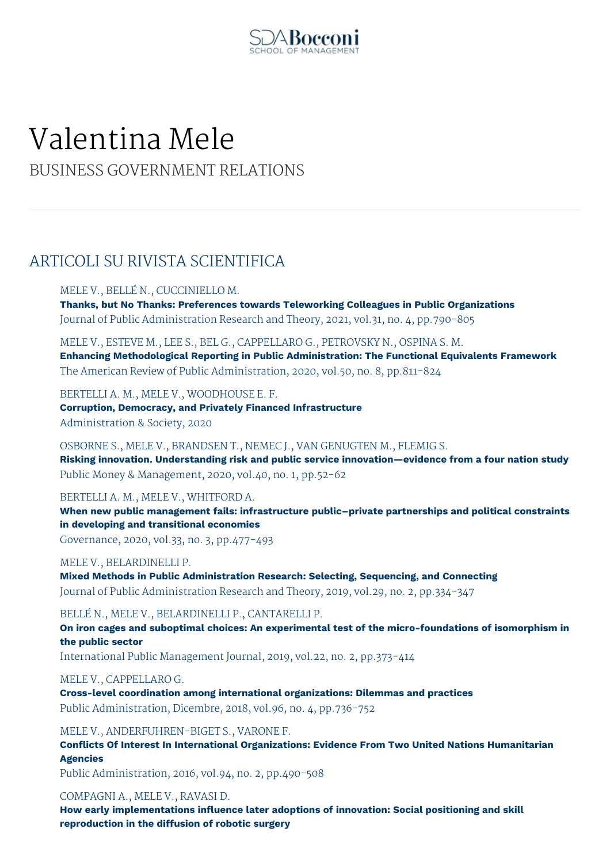

# Valentina Mele

BUSINESS GOVERNMENT RELATIONS

# ARTICOLI SU RIVISTA SCIENTIFICA

## MELE V., BELLÉ N., CUCCINIELLO M.

**Thanks, but No Thanks: Preferences towards Teleworking Colleagues in Public Organizations** Journal of Public Administration Research and Theory, 2021, vol.31, no. 4, pp.790-805

MELE V., ESTEVE M., LEE S., BEL G., CAPPELLARO G., PETROVSKY N., OSPINA S. M. **Enhancing Methodological Reporting in Public Administration: The Functional Equivalents Framework** The American Review of Public Administration, 2020, vol.50, no. 8, pp.811-824

BERTELLI A. M., MELE V., WOODHOUSE E. F.

**Corruption, Democracy, and Privately Financed Infrastructure** Administration & Society, 2020

OSBORNE S., MELE V., BRANDSEN T., NEMEC J., VAN GENUGTEN M., FLEMIG S. **Risking innovation. Understanding risk and public service innovation—evidence from a four nation study** Public Money & Management, 2020, vol.40, no. 1, pp.52-62

BERTELLI A. M., MELE V., WHITFORD A.

**When new public management fails: infrastructure public–private partnerships and political constraints in developing and transitional economies**

Governance, 2020, vol.33, no. 3, pp.477-493

## MELE V., BELARDINELLI P.

**Mixed Methods in Public Administration Research: Selecting, Sequencing, and Connecting** Journal of Public Administration Research and Theory, 2019, vol.29, no. 2, pp.334-347

BELLÉ N., MELE V., BELARDINELLI P., CANTARELLI P.

**On iron cages and suboptimal choices: An experimental test of the micro-foundations of isomorphism in the public sector**

International Public Management Journal, 2019, vol.22, no. 2, pp.373-414

MELE V., CAPPELLARO G.

**Cross-level coordination among international organizations: Dilemmas and practices** Public Administration, Dicembre, 2018, vol.96, no. 4, pp.736-752

MELE V., ANDERFUHREN-BIGET S., VARONE F.

**Conflicts Of Interest In International Organizations: Evidence From Two United Nations Humanitarian Agencies**

Public Administration, 2016, vol.94, no. 2, pp.490-508

COMPAGNI A., MELE V., RAVASI D.

**How early implementations influence later adoptions of innovation: Social positioning and skill reproduction in the diffusion of robotic surgery**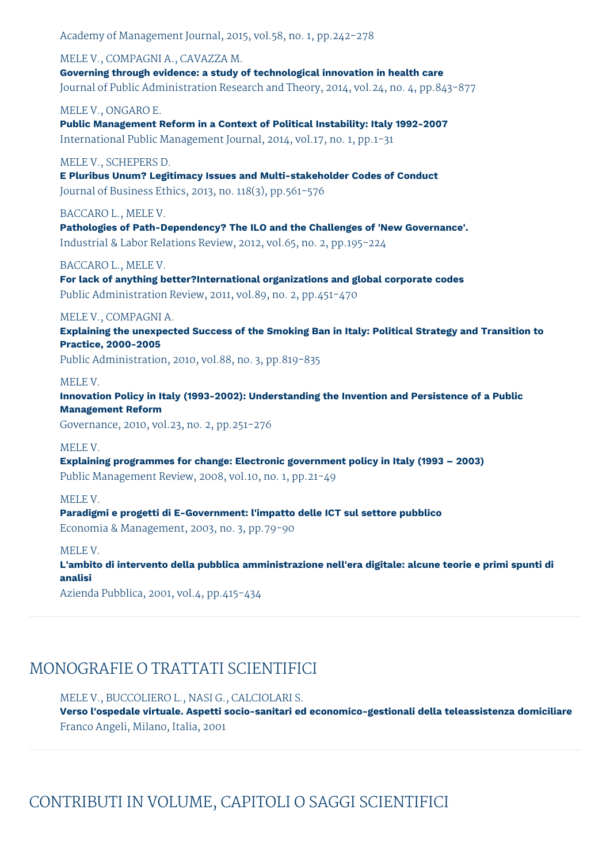Academy of Management Journal, 2015, vol.58, no. 1, pp.242-278

MELE V., COMPAGNI A., CAVAZZA M. **Governing through evidence: a study of technological innovation in health care** Journal of Public Administration Research and Theory, 2014, vol.24, no. 4, pp.843-877

MELE V., ONGARO E.

**Public Management Reform in a Context of Political Instability: Italy 1992-2007** International Public Management Journal, 2014, vol.17, no. 1, pp.1-31

MELE V., SCHEPERS D.

**E Pluribus Unum? Legitimacy Issues and Multi-stakeholder Codes of Conduct** Journal of Business Ethics, 2013, no. 118(3), pp.561-576

BACCARO L., MELE V.

**Pathologies of Path-Dependency? The ILO and the Challenges of 'New Governance'.** Industrial & Labor Relations Review, 2012, vol.65, no. 2, pp.195-224

BACCARO L., MELE V.

**For lack of anything better?International organizations and global corporate codes** Public Administration Review, 2011, vol.89, no. 2, pp.451-470

## MELE V., COMPAGNI A.

**Explaining the unexpected Success of the Smoking Ban in Italy: Political Strategy and Transition to Practice, 2000-2005**

Public Administration, 2010, vol.88, no. 3, pp.819-835

#### MELE V.

**Innovation Policy in Italy (1993-2002): Understanding the Invention and Persistence of a Public Management Reform**

Governance, 2010, vol.23, no. 2, pp.251-276

## MELE V.

**Explaining programmes for change: Electronic government policy in Italy (1993 – 2003)** Public Management Review, 2008, vol.10, no. 1, pp.21-49

MELE V.

**Paradigmi e progetti di E-Government: l'impatto delle ICT sul settore pubblico** Economia & Management, 2003, no. 3, pp.79-90

MELE V.

**L'ambito di intervento della pubblica amministrazione nell'era digitale: alcune teorie e primi spunti di analisi**

Azienda Pubblica, 2001, vol.4, pp.415-434

# MONOGRAFIE O TRATTATI SCIENTIFICI

MELE V., BUCCOLIERO L., NASI G., CALCIOLARI S.

**Verso l'ospedale virtuale. Aspetti socio-sanitari ed economico-gestionali della teleassistenza domiciliare** Franco Angeli, Milano, Italia, 2001

CONTRIBUTI IN VOLUME, CAPITOLI O SAGGI SCIENTIFICI